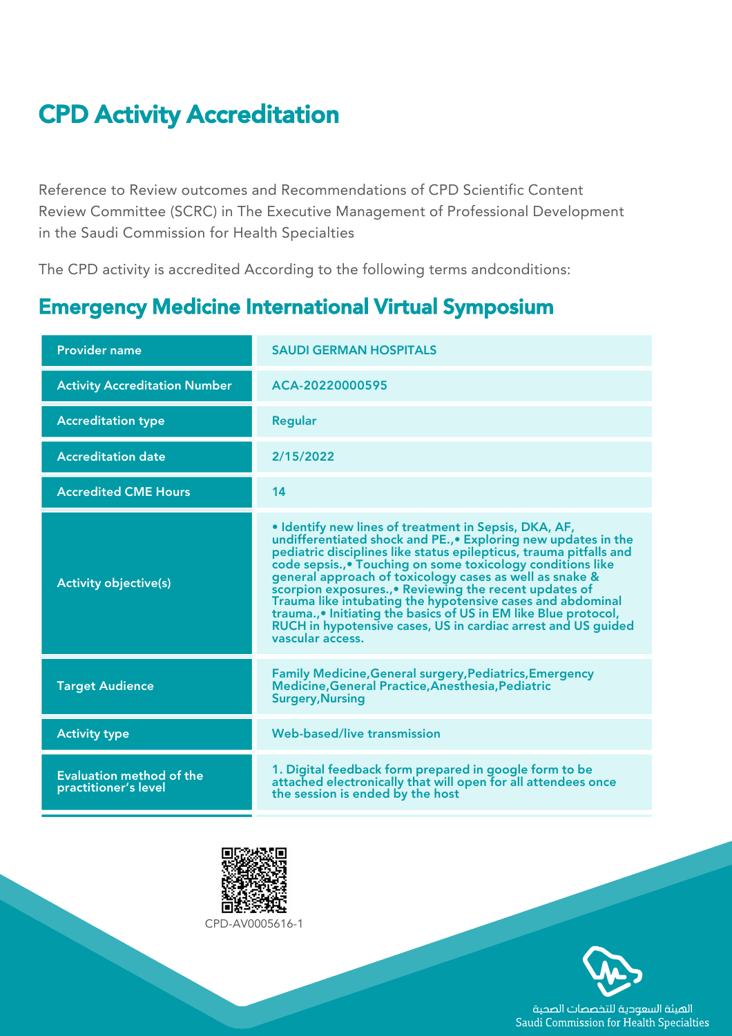## CPD Activity Accreditation

Reference to Review outcomes and Recommendations of CPD Scientific Content Review Committee (SCRC) in The Executive Management of Professional Development in the Saudi Commission for Health Specialties

The CPD activity is accredited According to the following terms andconditions:

## Emergency Medicine International Virtual Symposium

| <b>Provider name</b>                                    | <b>SAUDI GERMAN HOSPITALS</b>                                                                                                                                                                                                                                                                                                                                                                                                                                                                                                                                                                            |
|---------------------------------------------------------|----------------------------------------------------------------------------------------------------------------------------------------------------------------------------------------------------------------------------------------------------------------------------------------------------------------------------------------------------------------------------------------------------------------------------------------------------------------------------------------------------------------------------------------------------------------------------------------------------------|
| <b>Activity Accreditation Number</b>                    | ACA-20220000595                                                                                                                                                                                                                                                                                                                                                                                                                                                                                                                                                                                          |
| <b>Accreditation type</b>                               | <b>Regular</b>                                                                                                                                                                                                                                                                                                                                                                                                                                                                                                                                                                                           |
| <b>Accreditation date</b>                               | 2/15/2022                                                                                                                                                                                                                                                                                                                                                                                                                                                                                                                                                                                                |
| <b>Accredited CME Hours</b>                             | 14                                                                                                                                                                                                                                                                                                                                                                                                                                                                                                                                                                                                       |
| <b>Activity objective(s)</b>                            | • Identify new lines of treatment in Sepsis, DKA, AF,<br>undifferentiated shock and PE., • Exploring new updates in the<br>pediatric disciplines like status epilepticus, trauma pitfalls and<br>code sepsis., • Touching on some toxicology conditions like<br>general approach of toxicology cases as well as snake &<br>scorpion exposures., • Reviewing the recent updates of<br>Trauma like intubating the hypotensive cases and abdominal<br>trauma., • Initiating the basics of US in EM like Blue protocol,<br>RUCH in hypotensive cases, US in cardiac arrest and US guided<br>vascular access. |
| <b>Target Audience</b>                                  | <b>Family Medicine, General surgery, Pediatrics, Emergency</b><br>Medicine, General Practice, Anesthesia, Pediatric<br><b>Surgery, Nursing</b>                                                                                                                                                                                                                                                                                                                                                                                                                                                           |
| <b>Activity type</b>                                    | <b>Web-based/live transmission</b>                                                                                                                                                                                                                                                                                                                                                                                                                                                                                                                                                                       |
| <b>Evaluation method of the</b><br>practitioner's level | 1. Digital feedback form prepared in google form to be<br>attached electronically that will open for all attendees once<br>the session is ended by the host                                                                                                                                                                                                                                                                                                                                                                                                                                              |



CPD‐AV0005616‐1



الهيئة السعودية للتخصصات الصحية Saudi Commission for Health Specialties